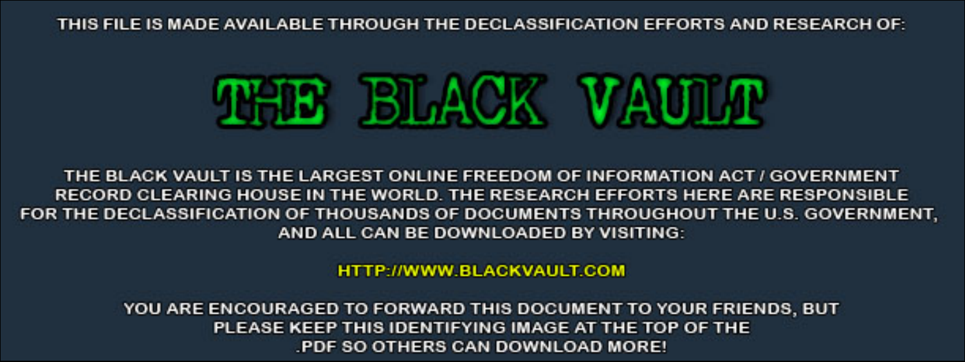THIS FILE IS MADE AVAILABLE THROUGH THE DECLASSIFICATION EFFORTS AND RESEARCH OF:



THE BLACK VAULT IS THE LARGEST ONLINE FREEDOM OF INFORMATION ACT / GOVERNMENT RECORD CLEARING HOUSE IN THE WORLD. THE RESEARCH EFFORTS HERE ARE RESPONSIBLE FOR THE DECLASSIFICATION OF THOUSANDS OF DOCUMENTS THROUGHOUT THE U.S. GOVERNMENT, AND ALL CAN BE DOWNLOADED BY VISITING:

**HTTP://WWW.BLACKVAULT.COM** 

YOU ARE ENCOURAGED TO FORWARD THIS DOCUMENT TO YOUR FRIENDS, BUT PLEASE KEEP THIS IDENTIFYING IMAGE AT THE TOP OF THE PDF SO OTHERS CAN DOWNLOAD MORE!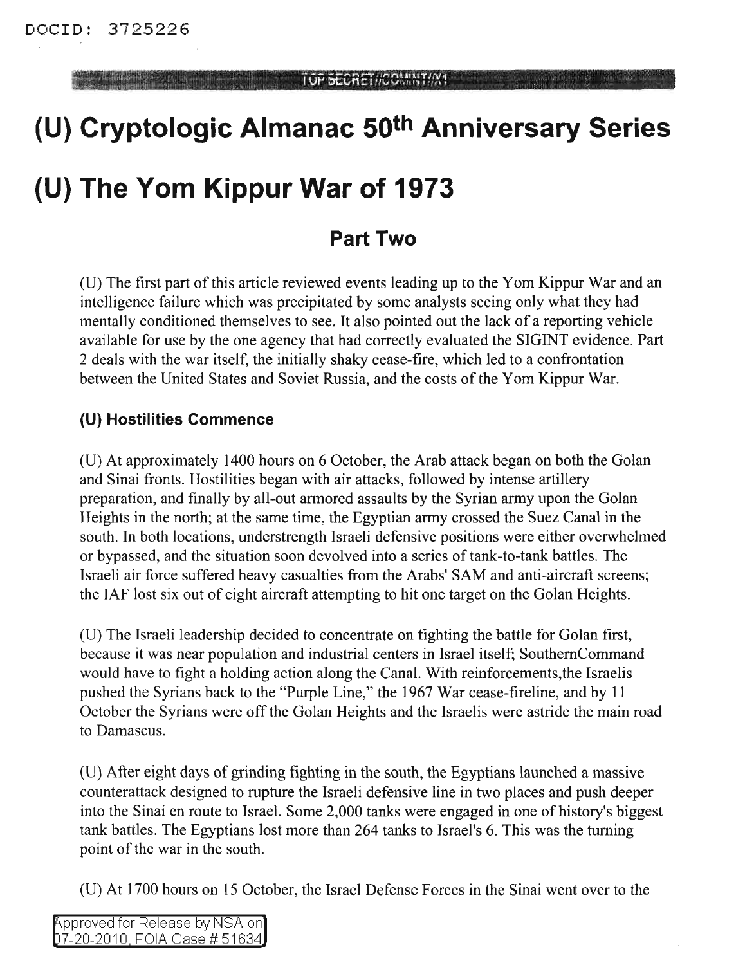TOP SECRET//COMINT/W1

# **(U) Cryptologic Almanac 50th Anniversary Series**

## **(U) The Yom Kippur War of 1973**

### **Part Two**

(U) The first part of this article reviewed events leading up to the Yom Kippur War and an intelligence failure which was precipitated by some analysts seeing only what they had mentally conditioned themselves to see. It also pointed out the lack of a reporting vehicle available for use by the one agency that had correctly evaluated the SIGINT evidence. Part 2 deals with the war itself, the initially shaky cease-fire, which led to a confrontation between the United States and Soviet Russia, and the costs of the Yom Kippur War.

#### **(U) Hostilities Commence**

(D) At approximately 1400 hours on 6 October, the Arab attack began on both the Golan and Sinai fronts. Hostilities began with air attacks, followed by intense artillery preparation, and finally by all-out armored assaults by the Syrian army upon the Golan Heights in the north; at the same time, the Egyptian army crossed the Suez Canal in the south. In both locations, understrength Israeli defensive positions were either overwhelmed or bypassed, and the situation soon devolved into a series of tank-to-tank battles. The Israeli air force suffered heavy casualties from the Arabs' SAM and anti-aircraft screens; the TAF lost six out of eight aircraft attempting to hit one target on the Golan Heights.

(D) The Israeli leadership decided to concentrate on fighting the battle for Golan first, because it was near population and industrial centers in Israel itself; SouthemCommand would have to fight a holding action along the Canal. With reinforcements,the Israelis pushed the Syrians back to the "Purple Line," the 1967 War cease-fireline, and by 11 October the Syrians were off the Golan Heights and the Israelis were astride the main road to Damascus.

(D) After eight days of grinding fighting in the south, the Egyptians launched a massive counterattack designed to rupture the Israeli defensive line in two places and push deeper into the Sinai en route to Israel. Some 2,000 tanks were engaged in one of history's biggest tank battles. The Egyptians lost more than 264 tanks to Israel's 6. This was the turning point of the war in the south.

(D) At 1700 hours on 15 October, the Israel Defense Forces in the Sinai went over to the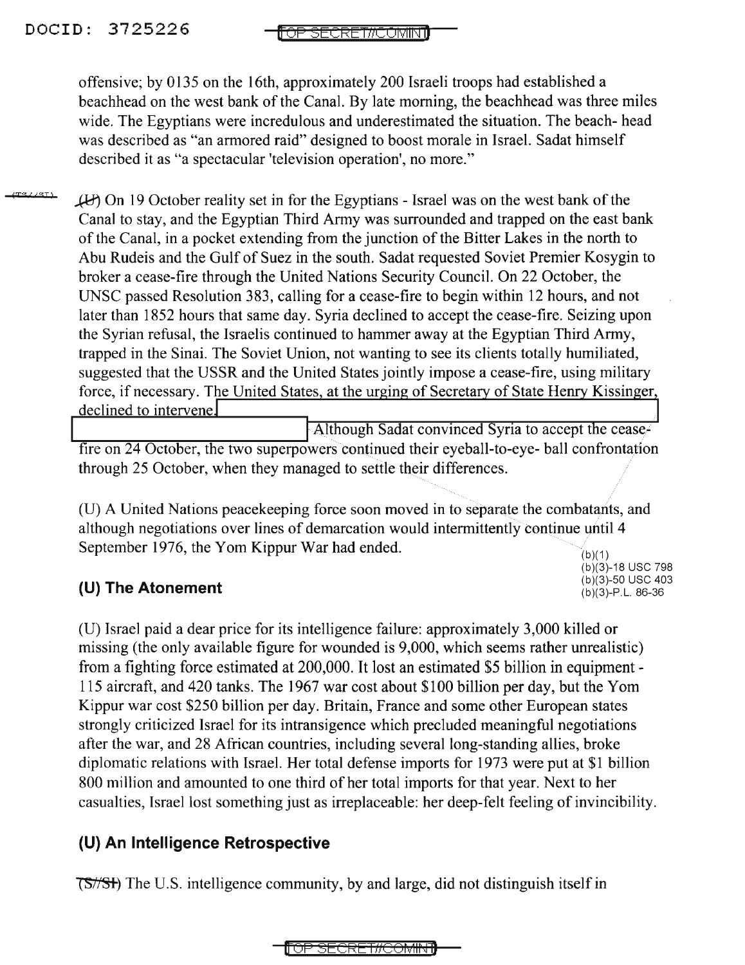offensive; by 0135 on the 16th, approximately 200 Israeli troops had established a beachhead on the west bank of the Canal. By late morning, the beachhead was three miles wide. The Egyptians were incredulous and underestimated the situation. The beach- head was described as "an armored raid" designed to boost morale in Israel. Sadat himself described it as "a spectacular 'television operation', no more."

<u>revieri</u>  $(F)$  On 19 October reality set in for the Egyptians - Israel was on the west bank of the Canal to stay, and the Egyptian Third Army was surrounded and trapped on the east bank of the Canal, in a pocket extending from the junction of the Bitter Lakes in the north to Abu Rudeis and the Gulf of Suez in the south. Sadat requested Soviet Premier Kosygin to broker a cease-fire through the United Nations Security Council. On 22 October, the UNSC passed Resolution 383, calling for a cease-fire to begin within 12 hours, and not later than 1852 hours that same day. Syria declined to accept the cease-fire. Seizing upon the Syrian refusal, the Israelis continued to hammer away at the Egyptian Third Army, trapped in the Sinai. The Soviet Union, not wanting to see its clients totally humiliated, suggested that the USSR and the United States jointly impose a cease-fire, using military force, if necessary. The United States, at the urging of Secretary of State Henry Kissinger, declined to intervene.

Although Sadat convinced Syria to accept the ceasefire on 24 October, the two superpowers continued their eyeball-to-eye- ball confrontation through 25 October, when they managed to settle their differences.

 $(b)(1)$ (U) A United Nations peacekeeping force soon moved in to separate the combatants, and although negotiations over lines of demarcation would intermittently continue until 4 September 1976, the Yom Kippur War had ended.

(b)(3)-18 USC 798<br>(b)(3)-50 USC 403

#### (b)(3)-50 usc <sup>403</sup> **(U) The Atonement** (b)(3)-P.L. 86-36

(U) Israel paid a dear price for its intelligence failure: approximately 3,000 killed or missing (the only available figure for wounded is 9,000, which seems rather unrealistic) from a fighting force estimated at 200,000. It lost an estimated \$5 billion in equipment - 115 aircraft, and 420 tanks. The 1967 war cost about \$100 billion per day, but the Yom Kippur war cost \$250 billion per day. Britain, France and some other European states strongly criticized Israel for its intransigence which precluded meaningful negotiations after the war, and 28 African countries, including several long-standing allies, broke diplomatic relations with Israel. Her total defense imports for 1973 were put at \$1 billion 800 million and amounted to one third of her total imports for that year. Next to her casualties, Israel lost something just as irreplaceable: her deep-felt feeling of invincibility.

#### **(U) An Intelligence Retrospective**

(S/SH) The U.S. intelligence community, by and large, did not distinguish itself in

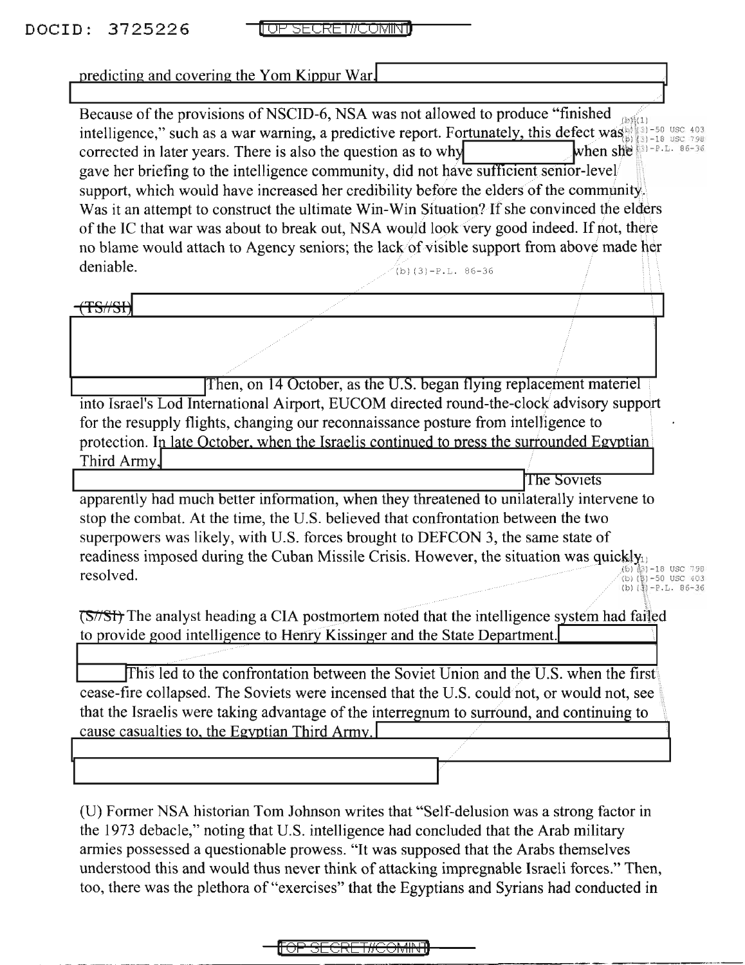|             | predicting and covering the Yom Kippur War.                                                                                                                                                                                                                                                                                                                                                                                                                                                                                                                                                                                                       |                                                                             |
|-------------|---------------------------------------------------------------------------------------------------------------------------------------------------------------------------------------------------------------------------------------------------------------------------------------------------------------------------------------------------------------------------------------------------------------------------------------------------------------------------------------------------------------------------------------------------------------------------------------------------------------------------------------------------|-----------------------------------------------------------------------------|
|             | Because of the provisions of NSCID-6, NSA was not allowed to produce "finished"<br>intelligence," such as a war warning, a predictive report. Fortunately, this defect was also also the real of<br>corrected in later years. There is also the question as to why<br>gave her briefing to the intelligence community, did not have sufficient senior-level<br>support, which would have increased her credibility before the elders of the community.<br>Was it an attempt to construct the ultimate Win-Win Situation? If she convinced the elders<br>of the IC that war was about to break out, NSA would look very good indeed. If not, there | 3)-18 USC 798<br>when she $(3)$ -P.L. 86-36                                 |
| deniable.   | no blame would attach to Agency seniors; the lack of visible support from above made her<br>$(b)(3)-P.L. 86-36$                                                                                                                                                                                                                                                                                                                                                                                                                                                                                                                                   |                                                                             |
|             |                                                                                                                                                                                                                                                                                                                                                                                                                                                                                                                                                                                                                                                   |                                                                             |
|             |                                                                                                                                                                                                                                                                                                                                                                                                                                                                                                                                                                                                                                                   |                                                                             |
|             | Then, on 14 October, as the U.S. began flying replacement materiel                                                                                                                                                                                                                                                                                                                                                                                                                                                                                                                                                                                |                                                                             |
| Third Army, | into Israel's Lod International Airport, EUCOM directed round-the-clock advisory support<br>for the resupply flights, changing our reconnaissance posture from intelligence to<br>protection. In late October, when the Israelis continued to press the surrounded Egyptian                                                                                                                                                                                                                                                                                                                                                                       |                                                                             |
|             |                                                                                                                                                                                                                                                                                                                                                                                                                                                                                                                                                                                                                                                   | The Soviets                                                                 |
| resolved.   | apparently had much better information, when they threatened to unilaterally intervene to<br>stop the combat. At the time, the U.S. believed that confrontation between the two<br>superpowers was likely, with U.S. forces brought to DEFCON 3, the same state of<br>readiness imposed during the Cuban Missile Crisis. However, the situation was quickly <sub>1</sub>                                                                                                                                                                                                                                                                          | 5) (3) -18 USC 798<br>(b)(8)-50 USC 403<br>(b) $(\frac{3}{2}) - P.L. 86-36$ |
|             | (S//SH) The analyst heading a CIA postmortem noted that the intelligence system had failed<br>to provide good intelligence to Henry Kissinger and the State Department.                                                                                                                                                                                                                                                                                                                                                                                                                                                                           |                                                                             |
|             | This led to the confrontation between the Soviet Union and the U.S. when the first<br>cease-fire collapsed. The Soviets were incensed that the U.S. could not, or would not, see<br>that the Israelis were taking advantage of the interregnum to surround, and continuing to<br>cause casualties to, the Egyptian Third Army.                                                                                                                                                                                                                                                                                                                    |                                                                             |
|             | (U) Former NSA historian Tom Johnson writes that "Self-delusion was a strong factor in<br>the 1973 debacle," noting that U.S. intelligence had concluded that the Arab military                                                                                                                                                                                                                                                                                                                                                                                                                                                                   |                                                                             |

armies possessed a questionable prowess. "It was supposed that the Arabs themselves understood this and would thus never think of attacking impregnable Israeli forces." Then, too, there was the plethora of "exercises" that the Egyptians and Syrians had conducted in